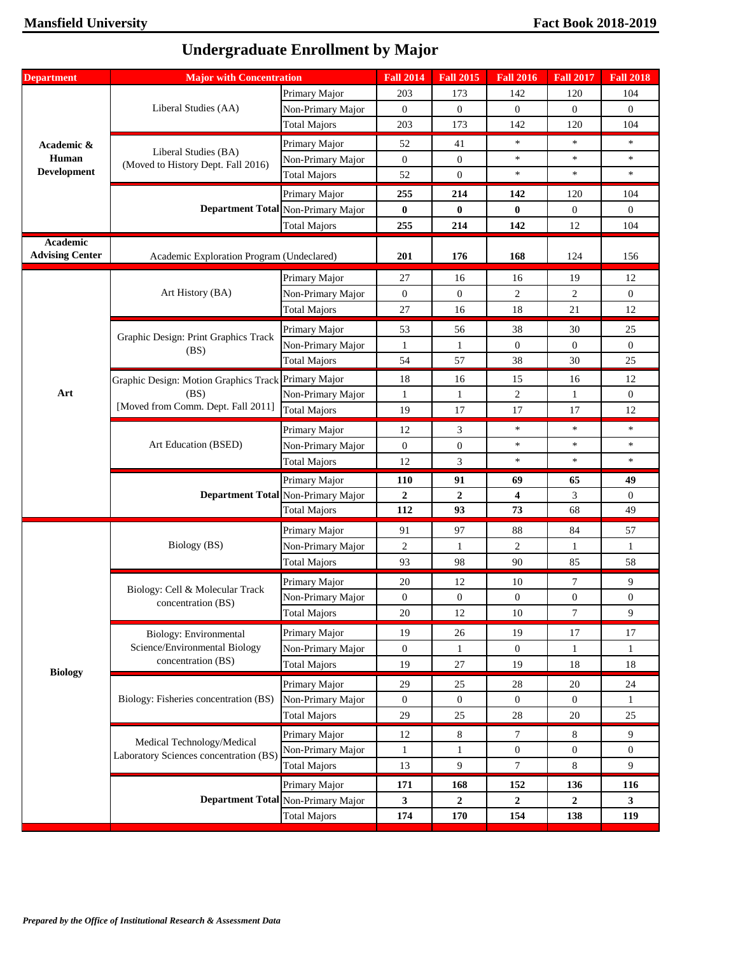| <b>Department</b>      | <b>Major with Concentration</b>                                                                   |                                    | <b>Fall 2014</b> | <b>Fall 2015</b> | <b>Fall 2016</b>        | <b>Fall 2017</b> | <b>Fall 2018</b> |
|------------------------|---------------------------------------------------------------------------------------------------|------------------------------------|------------------|------------------|-------------------------|------------------|------------------|
|                        |                                                                                                   | Primary Major                      | 203              | 173              | 142                     | 120              | 104              |
|                        | Liberal Studies (AA)                                                                              | Non-Primary Major                  | $\overline{0}$   | $\mathbf{0}$     | $\overline{0}$          | $\overline{0}$   | $\mathbf{0}$     |
|                        |                                                                                                   | <b>Total Majors</b>                | 203              | 173              | 142                     | 120              | 104              |
| Academic &             |                                                                                                   | Primary Major                      | 52               | 41               | $\ast$                  | $\ast$           | $\ast$           |
| Human                  | Liberal Studies (BA)                                                                              | Non-Primary Major                  | $\mathbf{0}$     | $\mathbf{0}$     | $\ast$                  | $\ast$           | $\ast$           |
| <b>Development</b>     | (Moved to History Dept. Fall 2016)                                                                | <b>Total Majors</b>                | 52               | $\overline{0}$   | $\ast$                  | $\ast$           | $\ast$           |
|                        |                                                                                                   | Primary Major                      | 255              | 214              | 142                     | 120              | 104              |
|                        |                                                                                                   | Department Total Non-Primary Major | $\bf{0}$         | $\bf{0}$         | $\bf{0}$                | $\overline{0}$   | $\mathbf{0}$     |
|                        |                                                                                                   | <b>Total Majors</b>                | 255              | 214              | 142                     | 12               | 104              |
| <b>Academic</b>        |                                                                                                   |                                    |                  |                  |                         |                  |                  |
| <b>Advising Center</b> | Academic Exploration Program (Undeclared)                                                         |                                    | 201              | 176              | 168                     | 124              | 156              |
|                        |                                                                                                   | Primary Major                      | 27               | 16               | 16                      | 19               | 12               |
|                        | Art History (BA)                                                                                  | Non-Primary Major                  | $\overline{0}$   | $\mathbf{0}$     | 2                       | $\overline{c}$   | $\mathbf{0}$     |
|                        |                                                                                                   | <b>Total Majors</b>                | 27               | 16               | 18                      | 21               | 12               |
|                        |                                                                                                   | Primary Major                      | 53               | 56               | 38                      | 30               | 25               |
|                        | Graphic Design: Print Graphics Track                                                              | Non-Primary Major                  | $\mathbf{1}$     | $\mathbf{1}$     | $\boldsymbol{0}$        | $\overline{0}$   | $\mathbf{0}$     |
|                        | (BS)                                                                                              | <b>Total Majors</b>                | 54               | 57               | 38                      | 30               | 25               |
|                        | Graphic Design: Motion Graphics Track Primary Major<br>(BS)<br>[Moved from Comm. Dept. Fall 2011] |                                    | 18               | 16               | 15                      | 16               | 12               |
| Art                    |                                                                                                   | Non-Primary Major                  | 1                | $\mathbf{1}$     | 2                       | 1                | $\mathbf{0}$     |
|                        |                                                                                                   | <b>Total Majors</b>                | 19               | 17               | 17                      | 17               | 12               |
|                        | Art Education (BSED)                                                                              | Primary Major                      | 12               | 3                | $\ast$                  | $\ast$           | $\ast$           |
|                        |                                                                                                   | Non-Primary Major                  | $\mathbf{0}$     | $\boldsymbol{0}$ | $\ast$                  | $\ast$           | $\ast$           |
|                        |                                                                                                   | <b>Total Majors</b>                | 12               | 3                | $\ast$                  | $\ast$           | $\ast$           |
|                        |                                                                                                   | Primary Major                      | <b>110</b>       | 91               | 69                      | 65               | 49               |
|                        |                                                                                                   | Department Total Non-Primary Major | $\mathbf{2}$     | $\overline{2}$   | $\overline{\mathbf{4}}$ | 3                | $\mathbf{0}$     |
|                        |                                                                                                   | <b>Total Majors</b>                | 112              | 93               | 73                      | 68               | 49               |
|                        | Biology (BS)                                                                                      | Primary Major                      | 91               | 97               | 88                      | 84               | 57               |
|                        |                                                                                                   | Non-Primary Major                  | $\overline{2}$   | $\mathbf{1}$     | 2                       | 1                | $\mathbf{1}$     |
|                        |                                                                                                   | <b>Total Majors</b>                | 93               | 98               | 90                      | 85               | 58               |
|                        | Biology: Cell & Molecular Track<br>concentration (BS)                                             | Primary Major                      | 20               | 12               | 10                      | 7                | 9                |
|                        |                                                                                                   | Non-Primary Major                  | $\overline{0}$   | 0                | $\boldsymbol{0}$        | $\overline{0}$   | $\overline{0}$   |
|                        |                                                                                                   | <b>Total Majors</b>                | $20\,$           | 12               | 10                      | $\overline{7}$   | $\boldsymbol{9}$ |
|                        | <b>Biology: Environmental</b>                                                                     | Primary Major                      | 19               | 26               | 19                      | 17               | 17               |
|                        | Science/Environmental Biology                                                                     | Non-Primary Major                  | $\mathbf{0}$     | $\mathbf{1}$     | $\mathbf{0}$            | $\mathbf{1}$     | $\mathbf{1}$     |
|                        | concentration (BS)                                                                                | <b>Total Majors</b>                | 19               | 27               | 19                      | 18               | 18               |
| <b>Biology</b>         |                                                                                                   | Primary Major                      | 29               | 25               | 28                      | 20               | 24               |
|                        | Biology: Fisheries concentration (BS)                                                             | Non-Primary Major                  | $\mathbf{0}$     | $\boldsymbol{0}$ | $\overline{0}$          | $\overline{0}$   | 1                |
|                        |                                                                                                   | <b>Total Majors</b>                | 29               | 25               | 28                      | $20\,$           | 25               |
|                        |                                                                                                   | Primary Major                      | 12               | 8                | 7                       | 8                | 9                |
|                        | Medical Technology/Medical<br>Laboratory Sciences concentration (BS)                              | Non-Primary Major                  | $\mathbf{1}$     | $\mathbf{1}$     | $\boldsymbol{0}$        | $\overline{0}$   | $\mathbf{0}$     |
|                        |                                                                                                   | <b>Total Majors</b>                | 13               | 9                | $\tau$                  | 8                | 9                |
|                        |                                                                                                   | Primary Major                      | 171              | 168              | 152                     | 136              | 116              |
|                        |                                                                                                   | Department Total Non-Primary Major | $\mathbf{3}$     | $\boldsymbol{2}$ | $\boldsymbol{2}$        | $\mathbf{2}$     | 3                |
|                        |                                                                                                   | <b>Total Majors</b>                | 174              | 170              | 154                     | 138              | 119              |

## **Undergraduate Enrollment by Major**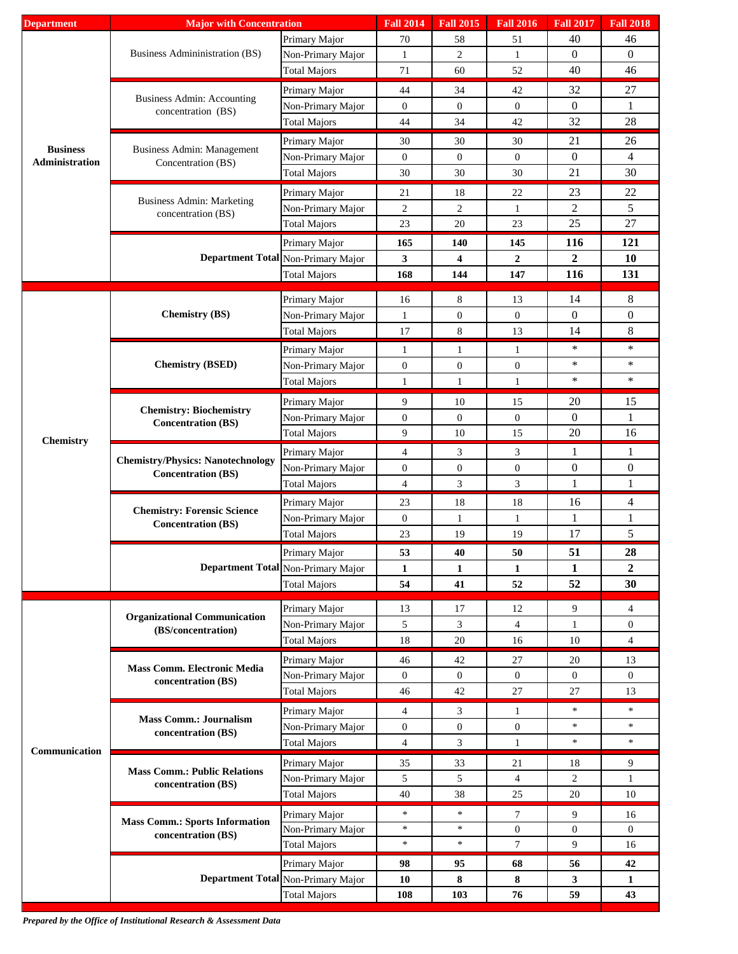| <b>Department</b>                 | <b>Major with Concentration</b>                                       |                                                                                                                                                                                                                                                                                                                                                                                                                                                                                                                                                                                                                                                                                                                                                                                                                                                                                                                                                                                                                                                                                                                                                                                                                                                                                                                                                                                                                  | <b>Fall 2014</b> | <b>Fall 2015</b> | <b>Fall 2016</b> | <b>Fall 2017</b> | <b>Fall 2018</b>                                                                                                                                                                                                                                |
|-----------------------------------|-----------------------------------------------------------------------|------------------------------------------------------------------------------------------------------------------------------------------------------------------------------------------------------------------------------------------------------------------------------------------------------------------------------------------------------------------------------------------------------------------------------------------------------------------------------------------------------------------------------------------------------------------------------------------------------------------------------------------------------------------------------------------------------------------------------------------------------------------------------------------------------------------------------------------------------------------------------------------------------------------------------------------------------------------------------------------------------------------------------------------------------------------------------------------------------------------------------------------------------------------------------------------------------------------------------------------------------------------------------------------------------------------------------------------------------------------------------------------------------------------|------------------|------------------|------------------|------------------|-------------------------------------------------------------------------------------------------------------------------------------------------------------------------------------------------------------------------------------------------|
|                                   |                                                                       | Primary Major                                                                                                                                                                                                                                                                                                                                                                                                                                                                                                                                                                                                                                                                                                                                                                                                                                                                                                                                                                                                                                                                                                                                                                                                                                                                                                                                                                                                    | 70               | 58               | 51               | 40               | 46                                                                                                                                                                                                                                              |
|                                   | Business Adminimistration (BS)                                        | Non-Primary Major                                                                                                                                                                                                                                                                                                                                                                                                                                                                                                                                                                                                                                                                                                                                                                                                                                                                                                                                                                                                                                                                                                                                                                                                                                                                                                                                                                                                | 1                | 2                | $\mathbf{1}$     | $\theta$         | $\boldsymbol{0}$                                                                                                                                                                                                                                |
|                                   |                                                                       | <b>Total Majors</b>                                                                                                                                                                                                                                                                                                                                                                                                                                                                                                                                                                                                                                                                                                                                                                                                                                                                                                                                                                                                                                                                                                                                                                                                                                                                                                                                                                                              | 71               | 60               | 52               | 40               | 46                                                                                                                                                                                                                                              |
|                                   |                                                                       |                                                                                                                                                                                                                                                                                                                                                                                                                                                                                                                                                                                                                                                                                                                                                                                                                                                                                                                                                                                                                                                                                                                                                                                                                                                                                                                                                                                                                  |                  |                  |                  |                  |                                                                                                                                                                                                                                                 |
|                                   | <b>Business Admin: Accounting</b>                                     | Primary Major                                                                                                                                                                                                                                                                                                                                                                                                                                                                                                                                                                                                                                                                                                                                                                                                                                                                                                                                                                                                                                                                                                                                                                                                                                                                                                                                                                                                    | 44               | 34               | 42               | 32               |                                                                                                                                                                                                                                                 |
|                                   | concentration (BS)                                                    | Non-Primary Major                                                                                                                                                                                                                                                                                                                                                                                                                                                                                                                                                                                                                                                                                                                                                                                                                                                                                                                                                                                                                                                                                                                                                                                                                                                                                                                                                                                                | $\mathbf{0}$     | $\overline{0}$   | $\overline{0}$   | $\mathbf{0}$     |                                                                                                                                                                                                                                                 |
|                                   |                                                                       |                                                                                                                                                                                                                                                                                                                                                                                                                                                                                                                                                                                                                                                                                                                                                                                                                                                                                                                                                                                                                                                                                                                                                                                                                                                                                                                                                                                                                  |                  |                  |                  |                  |                                                                                                                                                                                                                                                 |
|                                   |                                                                       | 32<br><b>Total Majors</b><br>44<br>34<br>42<br>21<br>Primary Major<br>30<br>30<br>30<br><b>Business Admin: Management</b><br>$\boldsymbol{0}$<br>$\overline{0}$<br>Non-Primary Major<br>$\overline{0}$<br>$\boldsymbol{0}$<br>Concentration (BS)<br>21<br><b>Total Majors</b><br>30<br>30<br>30<br>23<br>Primary Major<br>21<br>22<br>18<br><b>Business Admin: Marketing</b><br>$\overline{2}$<br>Non-Primary Major<br>$\overline{2}$<br>$\overline{c}$<br>$\mathbf{1}$<br>concentration (BS)<br>25<br><b>Total Majors</b><br>23<br>20<br>23<br>165<br>116<br>Primary Major<br>140<br>145<br>$\overline{2}$<br>Department Total Non-Primary Major<br>3<br>$\overline{\mathbf{4}}$<br>$\overline{2}$<br>116<br><b>Total Majors</b><br>168<br>144<br>147<br>$\,8$<br>14<br>Primary Major<br>13<br>16<br><b>Chemistry (BS)</b><br>$\boldsymbol{0}$<br>Non-Primary Major<br>$\boldsymbol{0}$<br>$\mathbf{1}$<br>$\boldsymbol{0}$<br>$\,8\,$<br>17<br>14<br><b>Total Majors</b><br>13<br>$\ast$<br>Primary Major<br>1<br>1<br>1<br><b>Chemistry (BSED)</b><br>$\ast$<br>$\boldsymbol{0}$<br>$\boldsymbol{0}$<br>Non-Primary Major<br>$\boldsymbol{0}$<br>$\ast$<br>$\mathbf{1}$<br><b>Total Majors</b><br>$\mathbf{1}$<br>$\mathbf{1}$<br>9<br>20<br>Primary Major<br>10<br>15<br><b>Chemistry: Biochemistry</b><br>$\boldsymbol{0}$<br>$\boldsymbol{0}$<br>Non-Primary Major<br>$\boldsymbol{0}$<br>$\boldsymbol{0}$ |                  | 26               |                  |                  |                                                                                                                                                                                                                                                 |
| <b>Business</b><br>Administration |                                                                       |                                                                                                                                                                                                                                                                                                                                                                                                                                                                                                                                                                                                                                                                                                                                                                                                                                                                                                                                                                                                                                                                                                                                                                                                                                                                                                                                                                                                                  |                  |                  |                  |                  | 27<br>$\mathbf{1}$<br>28<br>$\overline{4}$<br>30<br>22<br>5<br>27<br>121<br>10<br>131<br>8<br>$\boldsymbol{0}$<br>$8\,$<br>$\ast$<br>$\ast$<br>$\ast$<br>15<br>$\mathbf{1}$<br>16<br>1<br>$\boldsymbol{0}$<br>$\mathbf{1}$<br>4<br>$\mathbf{1}$ |
|                                   |                                                                       |                                                                                                                                                                                                                                                                                                                                                                                                                                                                                                                                                                                                                                                                                                                                                                                                                                                                                                                                                                                                                                                                                                                                                                                                                                                                                                                                                                                                                  |                  |                  |                  |                  |                                                                                                                                                                                                                                                 |
|                                   |                                                                       |                                                                                                                                                                                                                                                                                                                                                                                                                                                                                                                                                                                                                                                                                                                                                                                                                                                                                                                                                                                                                                                                                                                                                                                                                                                                                                                                                                                                                  |                  |                  |                  |                  |                                                                                                                                                                                                                                                 |
|                                   |                                                                       |                                                                                                                                                                                                                                                                                                                                                                                                                                                                                                                                                                                                                                                                                                                                                                                                                                                                                                                                                                                                                                                                                                                                                                                                                                                                                                                                                                                                                  |                  |                  |                  |                  |                                                                                                                                                                                                                                                 |
|                                   |                                                                       |                                                                                                                                                                                                                                                                                                                                                                                                                                                                                                                                                                                                                                                                                                                                                                                                                                                                                                                                                                                                                                                                                                                                                                                                                                                                                                                                                                                                                  |                  |                  |                  |                  |                                                                                                                                                                                                                                                 |
|                                   |                                                                       |                                                                                                                                                                                                                                                                                                                                                                                                                                                                                                                                                                                                                                                                                                                                                                                                                                                                                                                                                                                                                                                                                                                                                                                                                                                                                                                                                                                                                  |                  |                  |                  |                  |                                                                                                                                                                                                                                                 |
|                                   |                                                                       |                                                                                                                                                                                                                                                                                                                                                                                                                                                                                                                                                                                                                                                                                                                                                                                                                                                                                                                                                                                                                                                                                                                                                                                                                                                                                                                                                                                                                  |                  |                  |                  |                  |                                                                                                                                                                                                                                                 |
|                                   |                                                                       |                                                                                                                                                                                                                                                                                                                                                                                                                                                                                                                                                                                                                                                                                                                                                                                                                                                                                                                                                                                                                                                                                                                                                                                                                                                                                                                                                                                                                  |                  |                  |                  |                  |                                                                                                                                                                                                                                                 |
|                                   |                                                                       |                                                                                                                                                                                                                                                                                                                                                                                                                                                                                                                                                                                                                                                                                                                                                                                                                                                                                                                                                                                                                                                                                                                                                                                                                                                                                                                                                                                                                  |                  |                  |                  |                  |                                                                                                                                                                                                                                                 |
|                                   |                                                                       |                                                                                                                                                                                                                                                                                                                                                                                                                                                                                                                                                                                                                                                                                                                                                                                                                                                                                                                                                                                                                                                                                                                                                                                                                                                                                                                                                                                                                  |                  |                  |                  |                  |                                                                                                                                                                                                                                                 |
|                                   |                                                                       |                                                                                                                                                                                                                                                                                                                                                                                                                                                                                                                                                                                                                                                                                                                                                                                                                                                                                                                                                                                                                                                                                                                                                                                                                                                                                                                                                                                                                  |                  |                  |                  |                  |                                                                                                                                                                                                                                                 |
|                                   |                                                                       |                                                                                                                                                                                                                                                                                                                                                                                                                                                                                                                                                                                                                                                                                                                                                                                                                                                                                                                                                                                                                                                                                                                                                                                                                                                                                                                                                                                                                  |                  |                  |                  |                  |                                                                                                                                                                                                                                                 |
|                                   |                                                                       |                                                                                                                                                                                                                                                                                                                                                                                                                                                                                                                                                                                                                                                                                                                                                                                                                                                                                                                                                                                                                                                                                                                                                                                                                                                                                                                                                                                                                  |                  |                  |                  |                  |                                                                                                                                                                                                                                                 |
|                                   |                                                                       |                                                                                                                                                                                                                                                                                                                                                                                                                                                                                                                                                                                                                                                                                                                                                                                                                                                                                                                                                                                                                                                                                                                                                                                                                                                                                                                                                                                                                  |                  |                  |                  |                  |                                                                                                                                                                                                                                                 |
|                                   |                                                                       |                                                                                                                                                                                                                                                                                                                                                                                                                                                                                                                                                                                                                                                                                                                                                                                                                                                                                                                                                                                                                                                                                                                                                                                                                                                                                                                                                                                                                  |                  |                  |                  |                  |                                                                                                                                                                                                                                                 |
|                                   |                                                                       |                                                                                                                                                                                                                                                                                                                                                                                                                                                                                                                                                                                                                                                                                                                                                                                                                                                                                                                                                                                                                                                                                                                                                                                                                                                                                                                                                                                                                  |                  |                  |                  |                  |                                                                                                                                                                                                                                                 |
|                                   |                                                                       |                                                                                                                                                                                                                                                                                                                                                                                                                                                                                                                                                                                                                                                                                                                                                                                                                                                                                                                                                                                                                                                                                                                                                                                                                                                                                                                                                                                                                  |                  |                  |                  |                  |                                                                                                                                                                                                                                                 |
|                                   |                                                                       |                                                                                                                                                                                                                                                                                                                                                                                                                                                                                                                                                                                                                                                                                                                                                                                                                                                                                                                                                                                                                                                                                                                                                                                                                                                                                                                                                                                                                  |                  |                  |                  |                  |                                                                                                                                                                                                                                                 |
|                                   | <b>Concentration (BS)</b>                                             |                                                                                                                                                                                                                                                                                                                                                                                                                                                                                                                                                                                                                                                                                                                                                                                                                                                                                                                                                                                                                                                                                                                                                                                                                                                                                                                                                                                                                  |                  |                  |                  |                  |                                                                                                                                                                                                                                                 |
| Chemistry                         |                                                                       | <b>Total Majors</b>                                                                                                                                                                                                                                                                                                                                                                                                                                                                                                                                                                                                                                                                                                                                                                                                                                                                                                                                                                                                                                                                                                                                                                                                                                                                                                                                                                                              | 9                | 10               | 15               | 20               |                                                                                                                                                                                                                                                 |
|                                   | <b>Chemistry/Physics: Nanotechnology</b><br><b>Concentration (BS)</b> | Primary Major                                                                                                                                                                                                                                                                                                                                                                                                                                                                                                                                                                                                                                                                                                                                                                                                                                                                                                                                                                                                                                                                                                                                                                                                                                                                                                                                                                                                    | $\overline{4}$   | 3                | 3                | 1                |                                                                                                                                                                                                                                                 |
|                                   |                                                                       | Non-Primary Major                                                                                                                                                                                                                                                                                                                                                                                                                                                                                                                                                                                                                                                                                                                                                                                                                                                                                                                                                                                                                                                                                                                                                                                                                                                                                                                                                                                                | $\mathbf{0}$     | $\boldsymbol{0}$ | $\boldsymbol{0}$ | $\boldsymbol{0}$ |                                                                                                                                                                                                                                                 |
|                                   |                                                                       | <b>Total Majors</b>                                                                                                                                                                                                                                                                                                                                                                                                                                                                                                                                                                                                                                                                                                                                                                                                                                                                                                                                                                                                                                                                                                                                                                                                                                                                                                                                                                                              | $\overline{4}$   | 3                | 3                | 1                |                                                                                                                                                                                                                                                 |
|                                   | <b>Chemistry: Forensic Science</b><br><b>Concentration (BS)</b>       | Primary Major                                                                                                                                                                                                                                                                                                                                                                                                                                                                                                                                                                                                                                                                                                                                                                                                                                                                                                                                                                                                                                                                                                                                                                                                                                                                                                                                                                                                    | 23               | 18               | 18               | 16               |                                                                                                                                                                                                                                                 |
|                                   |                                                                       | Non-Primary Major                                                                                                                                                                                                                                                                                                                                                                                                                                                                                                                                                                                                                                                                                                                                                                                                                                                                                                                                                                                                                                                                                                                                                                                                                                                                                                                                                                                                | $\mathbf{0}$     | 1                | $\mathbf{1}$     | 1                |                                                                                                                                                                                                                                                 |
|                                   |                                                                       | <b>Total Majors</b>                                                                                                                                                                                                                                                                                                                                                                                                                                                                                                                                                                                                                                                                                                                                                                                                                                                                                                                                                                                                                                                                                                                                                                                                                                                                                                                                                                                              | 23               | 19               | 19               | $17\,$           | 5                                                                                                                                                                                                                                               |
|                                   | <b>Department Total Non-Primary Major</b>                             | Primary Major                                                                                                                                                                                                                                                                                                                                                                                                                                                                                                                                                                                                                                                                                                                                                                                                                                                                                                                                                                                                                                                                                                                                                                                                                                                                                                                                                                                                    | 53               | 40               | 50               | 51               | 28                                                                                                                                                                                                                                              |
|                                   |                                                                       |                                                                                                                                                                                                                                                                                                                                                                                                                                                                                                                                                                                                                                                                                                                                                                                                                                                                                                                                                                                                                                                                                                                                                                                                                                                                                                                                                                                                                  | 1                | 1                | 1                | $\mathbf{1}$     | $\boldsymbol{2}$                                                                                                                                                                                                                                |
|                                   |                                                                       | <b>Total Majors</b>                                                                                                                                                                                                                                                                                                                                                                                                                                                                                                                                                                                                                                                                                                                                                                                                                                                                                                                                                                                                                                                                                                                                                                                                                                                                                                                                                                                              | 54               | 41               | 52               | 52               | 30                                                                                                                                                                                                                                              |
|                                   |                                                                       |                                                                                                                                                                                                                                                                                                                                                                                                                                                                                                                                                                                                                                                                                                                                                                                                                                                                                                                                                                                                                                                                                                                                                                                                                                                                                                                                                                                                                  |                  |                  |                  |                  |                                                                                                                                                                                                                                                 |
|                                   |                                                                       | Primary Major                                                                                                                                                                                                                                                                                                                                                                                                                                                                                                                                                                                                                                                                                                                                                                                                                                                                                                                                                                                                                                                                                                                                                                                                                                                                                                                                                                                                    | 13               | 17               | 12               | 9                | $\overline{4}$                                                                                                                                                                                                                                  |
|                                   |                                                                       | Non-Primary Major                                                                                                                                                                                                                                                                                                                                                                                                                                                                                                                                                                                                                                                                                                                                                                                                                                                                                                                                                                                                                                                                                                                                                                                                                                                                                                                                                                                                | 5                | 3                | 4                | 1                | $\mathbf{0}$                                                                                                                                                                                                                                    |
|                                   | <b>Organizational Communication</b><br>(BS/concentration)             | <b>Total Majors</b>                                                                                                                                                                                                                                                                                                                                                                                                                                                                                                                                                                                                                                                                                                                                                                                                                                                                                                                                                                                                                                                                                                                                                                                                                                                                                                                                                                                              | 18               | 20               | 16               | 10               | $\overline{4}$                                                                                                                                                                                                                                  |
|                                   |                                                                       | Primary Major                                                                                                                                                                                                                                                                                                                                                                                                                                                                                                                                                                                                                                                                                                                                                                                                                                                                                                                                                                                                                                                                                                                                                                                                                                                                                                                                                                                                    | 46               | 42               | 27               | 20               | 13                                                                                                                                                                                                                                              |
|                                   | <b>Mass Comm. Electronic Media</b>                                    | Non-Primary Major                                                                                                                                                                                                                                                                                                                                                                                                                                                                                                                                                                                                                                                                                                                                                                                                                                                                                                                                                                                                                                                                                                                                                                                                                                                                                                                                                                                                | $\mathbf{0}$     | $\overline{0}$   | $\overline{0}$   | $\overline{0}$   | $\mathbf{0}$                                                                                                                                                                                                                                    |
|                                   | concentration (BS)                                                    | <b>Total Majors</b>                                                                                                                                                                                                                                                                                                                                                                                                                                                                                                                                                                                                                                                                                                                                                                                                                                                                                                                                                                                                                                                                                                                                                                                                                                                                                                                                                                                              | 46               | 42               | 27               | 27               | 13                                                                                                                                                                                                                                              |
|                                   |                                                                       |                                                                                                                                                                                                                                                                                                                                                                                                                                                                                                                                                                                                                                                                                                                                                                                                                                                                                                                                                                                                                                                                                                                                                                                                                                                                                                                                                                                                                  |                  |                  |                  |                  |                                                                                                                                                                                                                                                 |
|                                   | <b>Mass Comm.: Journalism</b>                                         | Primary Major                                                                                                                                                                                                                                                                                                                                                                                                                                                                                                                                                                                                                                                                                                                                                                                                                                                                                                                                                                                                                                                                                                                                                                                                                                                                                                                                                                                                    | $\overline{4}$   | 3                | $\mathbf{1}$     | $\ast$           | $\ast$                                                                                                                                                                                                                                          |
|                                   | concentration (BS)                                                    | Non-Primary Major                                                                                                                                                                                                                                                                                                                                                                                                                                                                                                                                                                                                                                                                                                                                                                                                                                                                                                                                                                                                                                                                                                                                                                                                                                                                                                                                                                                                | $\boldsymbol{0}$ | $\boldsymbol{0}$ | $\boldsymbol{0}$ | $\ast$           | $\ast$                                                                                                                                                                                                                                          |
| Communication                     |                                                                       | <b>Total Majors</b>                                                                                                                                                                                                                                                                                                                                                                                                                                                                                                                                                                                                                                                                                                                                                                                                                                                                                                                                                                                                                                                                                                                                                                                                                                                                                                                                                                                              | $\overline{4}$   | 3                | $\mathbf{1}$     | $\ast$           | $\ast$                                                                                                                                                                                                                                          |
|                                   |                                                                       | Primary Major                                                                                                                                                                                                                                                                                                                                                                                                                                                                                                                                                                                                                                                                                                                                                                                                                                                                                                                                                                                                                                                                                                                                                                                                                                                                                                                                                                                                    | 35               | 33               | 21               | 18               | 9                                                                                                                                                                                                                                               |
|                                   | <b>Mass Comm.: Public Relations</b>                                   | Non-Primary Major                                                                                                                                                                                                                                                                                                                                                                                                                                                                                                                                                                                                                                                                                                                                                                                                                                                                                                                                                                                                                                                                                                                                                                                                                                                                                                                                                                                                | 5                | 5                | 4                | $\overline{c}$   | $\mathbf{1}$                                                                                                                                                                                                                                    |
|                                   | concentration (BS)                                                    | <b>Total Majors</b>                                                                                                                                                                                                                                                                                                                                                                                                                                                                                                                                                                                                                                                                                                                                                                                                                                                                                                                                                                                                                                                                                                                                                                                                                                                                                                                                                                                              | 40               | 38               | 25               | $20\,$           | 10                                                                                                                                                                                                                                              |
|                                   |                                                                       |                                                                                                                                                                                                                                                                                                                                                                                                                                                                                                                                                                                                                                                                                                                                                                                                                                                                                                                                                                                                                                                                                                                                                                                                                                                                                                                                                                                                                  | $\ast$           | $\ast$           | 7                | 9                | 16                                                                                                                                                                                                                                              |
|                                   | <b>Mass Comm.: Sports Information</b>                                 | Primary Major<br>Non-Primary Major                                                                                                                                                                                                                                                                                                                                                                                                                                                                                                                                                                                                                                                                                                                                                                                                                                                                                                                                                                                                                                                                                                                                                                                                                                                                                                                                                                               | $\ast$           | $\ast$           | $\mathbf{0}$     | $\overline{0}$   | $\mathbf{0}$                                                                                                                                                                                                                                    |
|                                   | concentration (BS)                                                    | <b>Total Majors</b>                                                                                                                                                                                                                                                                                                                                                                                                                                                                                                                                                                                                                                                                                                                                                                                                                                                                                                                                                                                                                                                                                                                                                                                                                                                                                                                                                                                              | $\ast$           | $\ast$           | $\tau$           | 9                | 16                                                                                                                                                                                                                                              |
|                                   |                                                                       |                                                                                                                                                                                                                                                                                                                                                                                                                                                                                                                                                                                                                                                                                                                                                                                                                                                                                                                                                                                                                                                                                                                                                                                                                                                                                                                                                                                                                  |                  |                  |                  |                  |                                                                                                                                                                                                                                                 |
|                                   |                                                                       | Primary Major                                                                                                                                                                                                                                                                                                                                                                                                                                                                                                                                                                                                                                                                                                                                                                                                                                                                                                                                                                                                                                                                                                                                                                                                                                                                                                                                                                                                    | 98               | 95               | 68               | 56               | 42                                                                                                                                                                                                                                              |
|                                   |                                                                       | Department Total Non-Primary Major                                                                                                                                                                                                                                                                                                                                                                                                                                                                                                                                                                                                                                                                                                                                                                                                                                                                                                                                                                                                                                                                                                                                                                                                                                                                                                                                                                               | 10               | 8                | 8                | 3                | $\mathbf{1}$                                                                                                                                                                                                                                    |
|                                   |                                                                       | <b>Total Majors</b>                                                                                                                                                                                                                                                                                                                                                                                                                                                                                                                                                                                                                                                                                                                                                                                                                                                                                                                                                                                                                                                                                                                                                                                                                                                                                                                                                                                              | 108              | 103              | 76               | 59               | 43                                                                                                                                                                                                                                              |

*Prepared by the Office of Institutional Research & Assessment Data*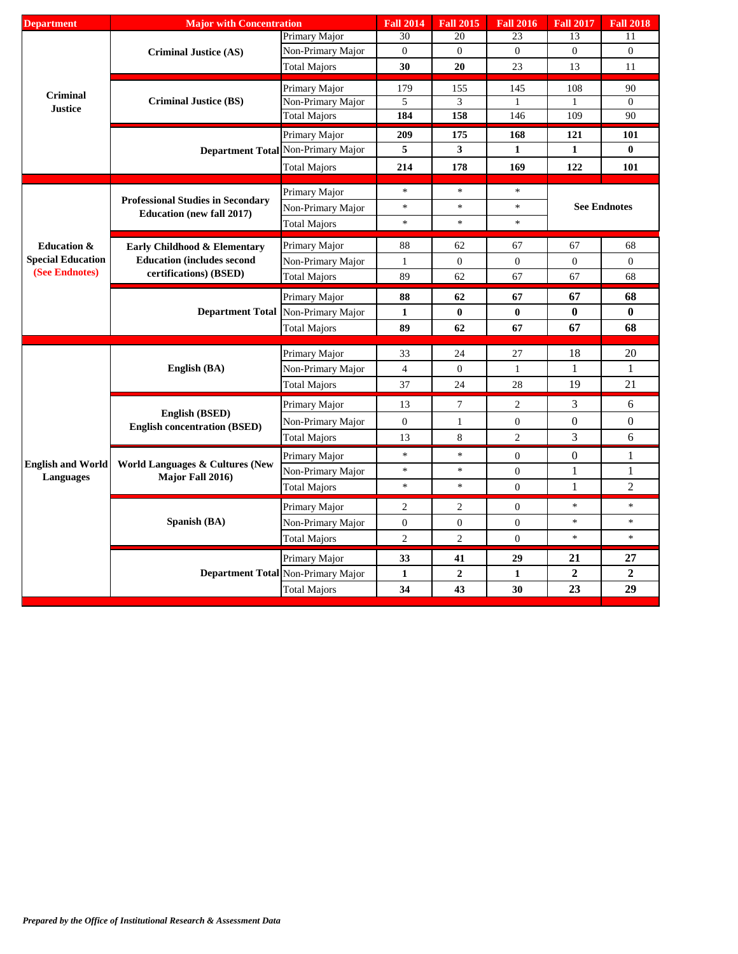| Primary Major<br>30<br>20<br>23<br>13<br>11<br>$\mathbf{0}$<br>$\overline{0}$<br>Non-Primary Major<br>$\mathbf{0}$<br>$\overline{0}$<br>$\overline{0}$<br><b>Criminal Justice (AS)</b><br>30<br>20<br>13<br><b>Total Majors</b><br>23<br>11<br>179<br>90<br>Primary Major<br>155<br>145<br>108<br>Criminal<br><b>Criminal Justice (BS)</b><br>$\theta$<br>Non-Primary Major<br>5<br>3<br>1<br>-1<br><b>Justice</b><br>184<br>158<br>146<br>109<br>90<br><b>Total Majors</b><br>209<br>Primary Major<br>175<br>168<br>121<br>101<br>Department Total Non-Primary Major<br>5<br>$\mathbf{3}$<br>$\bf{0}$<br>1<br>1<br>214<br>178<br>169<br>122<br>101<br><b>Total Majors</b><br>$\ast$<br>$\ast$<br>$\ast$<br>Primary Major<br><b>Professional Studies in Secondary</b><br>$\ast$<br>$\ast$<br>$\ast$<br><b>See Endnotes</b><br>Non-Primary Major<br><b>Education (new fall 2017)</b><br>$\ast$<br>$\ast$<br>$\ast$<br><b>Total Majors</b><br>67<br>68<br><b>Education &amp;</b><br>Primary Major<br>88<br>62<br>67<br>Early Childhood & Elementary<br><b>Special Education</b><br><b>Education (includes second)</b><br>$\boldsymbol{0}$<br>$\boldsymbol{0}$<br>Non-Primary Major<br>$\boldsymbol{0}$<br>$\boldsymbol{0}$<br>$\mathbf{1}$<br>(See Endnotes)<br>certifications) (BSED)<br>89<br>62<br>67<br>68<br><b>Total Majors</b><br>67<br>67<br>68<br>88<br>62<br>Primary Major<br>67<br><b>Department Total</b><br>$\bf{0}$<br>$\bf{0}$<br>$\pmb{0}$<br>Non-Primary Major<br>$\mathbf{1}$<br>$\bf{0}$<br>67<br>68<br>89<br>62<br><b>Total Majors</b><br>67<br>18<br>20<br>Primary Major<br>33<br>24<br>27<br>English (BA)<br>$\overline{4}$<br>$\boldsymbol{0}$<br>$\mathbf{1}$<br>$\mathbf{1}$<br>Non-Primary Major<br>$\mathbf{1}$<br>19<br>21<br>37<br>24<br>28<br><b>Total Majors</b><br>3<br>6<br>Primary Major<br>13<br>7<br>2<br>English (BSED)<br>$\boldsymbol{0}$<br>$\boldsymbol{0}$<br>$\mathbf{0}$<br>Non-Primary Major<br>$\boldsymbol{0}$<br>1<br><b>English concentration (BSED)</b><br>3<br>$\mathbf{2}$<br>6<br>8<br><b>Total Majors</b><br>13<br>$\star$<br>$\ast$<br>$\boldsymbol{0}$<br>1<br>Primary Major<br>$\overline{0}$<br><b>English and World</b><br><b>World Languages &amp; Cultures (New</b><br>$\ast$<br>$\ast$<br>$\mathbf{1}$<br>$\boldsymbol{0}$<br>1<br>Non-Primary Major<br>Major Fall 2016)<br><b>Languages</b><br>$\overline{2}$<br>$\ast$<br>$\ast$<br>$\mathbf{1}$<br>$\overline{0}$<br><b>Total Majors</b><br>$\ast$<br>$\ast$<br>Primary Major<br>$\overline{c}$<br>2<br>$\boldsymbol{0}$<br>Spanish (BA)<br>$\ast$<br>$\ast$<br>Non-Primary Major<br>$\boldsymbol{0}$<br>$\mathbf{0}$<br>$\boldsymbol{0}$<br>$\ast$<br>$\ast$<br>$\mathbf{2}$<br>$\overline{2}$<br>$\theta$<br>Total Majors<br>21<br>27<br>33<br>29<br>Primary Major<br>41<br>$\overline{2}$<br>$\boldsymbol{2}$<br>Department Total Non-Primary Major<br>$\boldsymbol{2}$<br>$\mathbf{1}$<br>1<br>23<br>29<br>34<br>43<br>30 | <b>Department</b> | <b>Major with Concentration</b> |                     | <b>Fall 2014</b> | <b>Fall 2015</b> | <b>Fall 2016</b> | <b>Fall 2017</b> | <b>Fall 2018</b> |
|----------------------------------------------------------------------------------------------------------------------------------------------------------------------------------------------------------------------------------------------------------------------------------------------------------------------------------------------------------------------------------------------------------------------------------------------------------------------------------------------------------------------------------------------------------------------------------------------------------------------------------------------------------------------------------------------------------------------------------------------------------------------------------------------------------------------------------------------------------------------------------------------------------------------------------------------------------------------------------------------------------------------------------------------------------------------------------------------------------------------------------------------------------------------------------------------------------------------------------------------------------------------------------------------------------------------------------------------------------------------------------------------------------------------------------------------------------------------------------------------------------------------------------------------------------------------------------------------------------------------------------------------------------------------------------------------------------------------------------------------------------------------------------------------------------------------------------------------------------------------------------------------------------------------------------------------------------------------------------------------------------------------------------------------------------------------------------------------------------------------------------------------------------------------------------------------------------------------------------------------------------------------------------------------------------------------------------------------------------------------------------------------------------------------------------------------------------------------------------------------------------------------------------------------------------------------------------------------------------------------------------------------------------------------------------------------------------------------------------------------------------------------------------------------------------------------------------------------------------------------------------------------------------------------------------------------|-------------------|---------------------------------|---------------------|------------------|------------------|------------------|------------------|------------------|
|                                                                                                                                                                                                                                                                                                                                                                                                                                                                                                                                                                                                                                                                                                                                                                                                                                                                                                                                                                                                                                                                                                                                                                                                                                                                                                                                                                                                                                                                                                                                                                                                                                                                                                                                                                                                                                                                                                                                                                                                                                                                                                                                                                                                                                                                                                                                                                                                                                                                                                                                                                                                                                                                                                                                                                                                                                                                                                                                              |                   |                                 |                     |                  |                  |                  |                  |                  |
|                                                                                                                                                                                                                                                                                                                                                                                                                                                                                                                                                                                                                                                                                                                                                                                                                                                                                                                                                                                                                                                                                                                                                                                                                                                                                                                                                                                                                                                                                                                                                                                                                                                                                                                                                                                                                                                                                                                                                                                                                                                                                                                                                                                                                                                                                                                                                                                                                                                                                                                                                                                                                                                                                                                                                                                                                                                                                                                                              |                   |                                 |                     |                  |                  |                  |                  |                  |
|                                                                                                                                                                                                                                                                                                                                                                                                                                                                                                                                                                                                                                                                                                                                                                                                                                                                                                                                                                                                                                                                                                                                                                                                                                                                                                                                                                                                                                                                                                                                                                                                                                                                                                                                                                                                                                                                                                                                                                                                                                                                                                                                                                                                                                                                                                                                                                                                                                                                                                                                                                                                                                                                                                                                                                                                                                                                                                                                              |                   |                                 |                     |                  |                  |                  |                  |                  |
|                                                                                                                                                                                                                                                                                                                                                                                                                                                                                                                                                                                                                                                                                                                                                                                                                                                                                                                                                                                                                                                                                                                                                                                                                                                                                                                                                                                                                                                                                                                                                                                                                                                                                                                                                                                                                                                                                                                                                                                                                                                                                                                                                                                                                                                                                                                                                                                                                                                                                                                                                                                                                                                                                                                                                                                                                                                                                                                                              |                   |                                 |                     |                  |                  |                  |                  |                  |
|                                                                                                                                                                                                                                                                                                                                                                                                                                                                                                                                                                                                                                                                                                                                                                                                                                                                                                                                                                                                                                                                                                                                                                                                                                                                                                                                                                                                                                                                                                                                                                                                                                                                                                                                                                                                                                                                                                                                                                                                                                                                                                                                                                                                                                                                                                                                                                                                                                                                                                                                                                                                                                                                                                                                                                                                                                                                                                                                              |                   |                                 |                     |                  |                  |                  |                  |                  |
|                                                                                                                                                                                                                                                                                                                                                                                                                                                                                                                                                                                                                                                                                                                                                                                                                                                                                                                                                                                                                                                                                                                                                                                                                                                                                                                                                                                                                                                                                                                                                                                                                                                                                                                                                                                                                                                                                                                                                                                                                                                                                                                                                                                                                                                                                                                                                                                                                                                                                                                                                                                                                                                                                                                                                                                                                                                                                                                                              |                   |                                 |                     |                  |                  |                  |                  |                  |
|                                                                                                                                                                                                                                                                                                                                                                                                                                                                                                                                                                                                                                                                                                                                                                                                                                                                                                                                                                                                                                                                                                                                                                                                                                                                                                                                                                                                                                                                                                                                                                                                                                                                                                                                                                                                                                                                                                                                                                                                                                                                                                                                                                                                                                                                                                                                                                                                                                                                                                                                                                                                                                                                                                                                                                                                                                                                                                                                              |                   |                                 |                     |                  |                  |                  |                  |                  |
|                                                                                                                                                                                                                                                                                                                                                                                                                                                                                                                                                                                                                                                                                                                                                                                                                                                                                                                                                                                                                                                                                                                                                                                                                                                                                                                                                                                                                                                                                                                                                                                                                                                                                                                                                                                                                                                                                                                                                                                                                                                                                                                                                                                                                                                                                                                                                                                                                                                                                                                                                                                                                                                                                                                                                                                                                                                                                                                                              |                   |                                 |                     |                  |                  |                  |                  |                  |
|                                                                                                                                                                                                                                                                                                                                                                                                                                                                                                                                                                                                                                                                                                                                                                                                                                                                                                                                                                                                                                                                                                                                                                                                                                                                                                                                                                                                                                                                                                                                                                                                                                                                                                                                                                                                                                                                                                                                                                                                                                                                                                                                                                                                                                                                                                                                                                                                                                                                                                                                                                                                                                                                                                                                                                                                                                                                                                                                              |                   |                                 |                     |                  |                  |                  |                  |                  |
|                                                                                                                                                                                                                                                                                                                                                                                                                                                                                                                                                                                                                                                                                                                                                                                                                                                                                                                                                                                                                                                                                                                                                                                                                                                                                                                                                                                                                                                                                                                                                                                                                                                                                                                                                                                                                                                                                                                                                                                                                                                                                                                                                                                                                                                                                                                                                                                                                                                                                                                                                                                                                                                                                                                                                                                                                                                                                                                                              |                   |                                 |                     |                  |                  |                  |                  |                  |
|                                                                                                                                                                                                                                                                                                                                                                                                                                                                                                                                                                                                                                                                                                                                                                                                                                                                                                                                                                                                                                                                                                                                                                                                                                                                                                                                                                                                                                                                                                                                                                                                                                                                                                                                                                                                                                                                                                                                                                                                                                                                                                                                                                                                                                                                                                                                                                                                                                                                                                                                                                                                                                                                                                                                                                                                                                                                                                                                              |                   |                                 |                     |                  |                  |                  |                  |                  |
|                                                                                                                                                                                                                                                                                                                                                                                                                                                                                                                                                                                                                                                                                                                                                                                                                                                                                                                                                                                                                                                                                                                                                                                                                                                                                                                                                                                                                                                                                                                                                                                                                                                                                                                                                                                                                                                                                                                                                                                                                                                                                                                                                                                                                                                                                                                                                                                                                                                                                                                                                                                                                                                                                                                                                                                                                                                                                                                                              |                   |                                 |                     |                  |                  |                  |                  |                  |
|                                                                                                                                                                                                                                                                                                                                                                                                                                                                                                                                                                                                                                                                                                                                                                                                                                                                                                                                                                                                                                                                                                                                                                                                                                                                                                                                                                                                                                                                                                                                                                                                                                                                                                                                                                                                                                                                                                                                                                                                                                                                                                                                                                                                                                                                                                                                                                                                                                                                                                                                                                                                                                                                                                                                                                                                                                                                                                                                              |                   |                                 |                     |                  |                  |                  |                  |                  |
|                                                                                                                                                                                                                                                                                                                                                                                                                                                                                                                                                                                                                                                                                                                                                                                                                                                                                                                                                                                                                                                                                                                                                                                                                                                                                                                                                                                                                                                                                                                                                                                                                                                                                                                                                                                                                                                                                                                                                                                                                                                                                                                                                                                                                                                                                                                                                                                                                                                                                                                                                                                                                                                                                                                                                                                                                                                                                                                                              |                   |                                 |                     |                  |                  |                  |                  |                  |
|                                                                                                                                                                                                                                                                                                                                                                                                                                                                                                                                                                                                                                                                                                                                                                                                                                                                                                                                                                                                                                                                                                                                                                                                                                                                                                                                                                                                                                                                                                                                                                                                                                                                                                                                                                                                                                                                                                                                                                                                                                                                                                                                                                                                                                                                                                                                                                                                                                                                                                                                                                                                                                                                                                                                                                                                                                                                                                                                              |                   |                                 |                     |                  |                  |                  |                  |                  |
|                                                                                                                                                                                                                                                                                                                                                                                                                                                                                                                                                                                                                                                                                                                                                                                                                                                                                                                                                                                                                                                                                                                                                                                                                                                                                                                                                                                                                                                                                                                                                                                                                                                                                                                                                                                                                                                                                                                                                                                                                                                                                                                                                                                                                                                                                                                                                                                                                                                                                                                                                                                                                                                                                                                                                                                                                                                                                                                                              |                   |                                 |                     |                  |                  |                  |                  |                  |
|                                                                                                                                                                                                                                                                                                                                                                                                                                                                                                                                                                                                                                                                                                                                                                                                                                                                                                                                                                                                                                                                                                                                                                                                                                                                                                                                                                                                                                                                                                                                                                                                                                                                                                                                                                                                                                                                                                                                                                                                                                                                                                                                                                                                                                                                                                                                                                                                                                                                                                                                                                                                                                                                                                                                                                                                                                                                                                                                              |                   |                                 |                     |                  |                  |                  |                  |                  |
|                                                                                                                                                                                                                                                                                                                                                                                                                                                                                                                                                                                                                                                                                                                                                                                                                                                                                                                                                                                                                                                                                                                                                                                                                                                                                                                                                                                                                                                                                                                                                                                                                                                                                                                                                                                                                                                                                                                                                                                                                                                                                                                                                                                                                                                                                                                                                                                                                                                                                                                                                                                                                                                                                                                                                                                                                                                                                                                                              |                   |                                 |                     |                  |                  |                  |                  |                  |
|                                                                                                                                                                                                                                                                                                                                                                                                                                                                                                                                                                                                                                                                                                                                                                                                                                                                                                                                                                                                                                                                                                                                                                                                                                                                                                                                                                                                                                                                                                                                                                                                                                                                                                                                                                                                                                                                                                                                                                                                                                                                                                                                                                                                                                                                                                                                                                                                                                                                                                                                                                                                                                                                                                                                                                                                                                                                                                                                              |                   |                                 |                     |                  |                  |                  |                  |                  |
|                                                                                                                                                                                                                                                                                                                                                                                                                                                                                                                                                                                                                                                                                                                                                                                                                                                                                                                                                                                                                                                                                                                                                                                                                                                                                                                                                                                                                                                                                                                                                                                                                                                                                                                                                                                                                                                                                                                                                                                                                                                                                                                                                                                                                                                                                                                                                                                                                                                                                                                                                                                                                                                                                                                                                                                                                                                                                                                                              |                   |                                 |                     |                  |                  |                  |                  |                  |
|                                                                                                                                                                                                                                                                                                                                                                                                                                                                                                                                                                                                                                                                                                                                                                                                                                                                                                                                                                                                                                                                                                                                                                                                                                                                                                                                                                                                                                                                                                                                                                                                                                                                                                                                                                                                                                                                                                                                                                                                                                                                                                                                                                                                                                                                                                                                                                                                                                                                                                                                                                                                                                                                                                                                                                                                                                                                                                                                              |                   |                                 |                     |                  |                  |                  |                  |                  |
|                                                                                                                                                                                                                                                                                                                                                                                                                                                                                                                                                                                                                                                                                                                                                                                                                                                                                                                                                                                                                                                                                                                                                                                                                                                                                                                                                                                                                                                                                                                                                                                                                                                                                                                                                                                                                                                                                                                                                                                                                                                                                                                                                                                                                                                                                                                                                                                                                                                                                                                                                                                                                                                                                                                                                                                                                                                                                                                                              |                   |                                 |                     |                  |                  |                  |                  |                  |
|                                                                                                                                                                                                                                                                                                                                                                                                                                                                                                                                                                                                                                                                                                                                                                                                                                                                                                                                                                                                                                                                                                                                                                                                                                                                                                                                                                                                                                                                                                                                                                                                                                                                                                                                                                                                                                                                                                                                                                                                                                                                                                                                                                                                                                                                                                                                                                                                                                                                                                                                                                                                                                                                                                                                                                                                                                                                                                                                              |                   |                                 |                     |                  |                  |                  |                  |                  |
|                                                                                                                                                                                                                                                                                                                                                                                                                                                                                                                                                                                                                                                                                                                                                                                                                                                                                                                                                                                                                                                                                                                                                                                                                                                                                                                                                                                                                                                                                                                                                                                                                                                                                                                                                                                                                                                                                                                                                                                                                                                                                                                                                                                                                                                                                                                                                                                                                                                                                                                                                                                                                                                                                                                                                                                                                                                                                                                                              |                   |                                 |                     |                  |                  |                  |                  |                  |
|                                                                                                                                                                                                                                                                                                                                                                                                                                                                                                                                                                                                                                                                                                                                                                                                                                                                                                                                                                                                                                                                                                                                                                                                                                                                                                                                                                                                                                                                                                                                                                                                                                                                                                                                                                                                                                                                                                                                                                                                                                                                                                                                                                                                                                                                                                                                                                                                                                                                                                                                                                                                                                                                                                                                                                                                                                                                                                                                              |                   |                                 |                     |                  |                  |                  |                  |                  |
|                                                                                                                                                                                                                                                                                                                                                                                                                                                                                                                                                                                                                                                                                                                                                                                                                                                                                                                                                                                                                                                                                                                                                                                                                                                                                                                                                                                                                                                                                                                                                                                                                                                                                                                                                                                                                                                                                                                                                                                                                                                                                                                                                                                                                                                                                                                                                                                                                                                                                                                                                                                                                                                                                                                                                                                                                                                                                                                                              |                   |                                 |                     |                  |                  |                  |                  |                  |
|                                                                                                                                                                                                                                                                                                                                                                                                                                                                                                                                                                                                                                                                                                                                                                                                                                                                                                                                                                                                                                                                                                                                                                                                                                                                                                                                                                                                                                                                                                                                                                                                                                                                                                                                                                                                                                                                                                                                                                                                                                                                                                                                                                                                                                                                                                                                                                                                                                                                                                                                                                                                                                                                                                                                                                                                                                                                                                                                              |                   |                                 |                     |                  |                  |                  |                  |                  |
|                                                                                                                                                                                                                                                                                                                                                                                                                                                                                                                                                                                                                                                                                                                                                                                                                                                                                                                                                                                                                                                                                                                                                                                                                                                                                                                                                                                                                                                                                                                                                                                                                                                                                                                                                                                                                                                                                                                                                                                                                                                                                                                                                                                                                                                                                                                                                                                                                                                                                                                                                                                                                                                                                                                                                                                                                                                                                                                                              |                   |                                 |                     |                  |                  |                  |                  |                  |
|                                                                                                                                                                                                                                                                                                                                                                                                                                                                                                                                                                                                                                                                                                                                                                                                                                                                                                                                                                                                                                                                                                                                                                                                                                                                                                                                                                                                                                                                                                                                                                                                                                                                                                                                                                                                                                                                                                                                                                                                                                                                                                                                                                                                                                                                                                                                                                                                                                                                                                                                                                                                                                                                                                                                                                                                                                                                                                                                              |                   |                                 |                     |                  |                  |                  |                  |                  |
|                                                                                                                                                                                                                                                                                                                                                                                                                                                                                                                                                                                                                                                                                                                                                                                                                                                                                                                                                                                                                                                                                                                                                                                                                                                                                                                                                                                                                                                                                                                                                                                                                                                                                                                                                                                                                                                                                                                                                                                                                                                                                                                                                                                                                                                                                                                                                                                                                                                                                                                                                                                                                                                                                                                                                                                                                                                                                                                                              |                   |                                 |                     |                  |                  |                  |                  |                  |
|                                                                                                                                                                                                                                                                                                                                                                                                                                                                                                                                                                                                                                                                                                                                                                                                                                                                                                                                                                                                                                                                                                                                                                                                                                                                                                                                                                                                                                                                                                                                                                                                                                                                                                                                                                                                                                                                                                                                                                                                                                                                                                                                                                                                                                                                                                                                                                                                                                                                                                                                                                                                                                                                                                                                                                                                                                                                                                                                              |                   |                                 |                     |                  |                  |                  |                  |                  |
|                                                                                                                                                                                                                                                                                                                                                                                                                                                                                                                                                                                                                                                                                                                                                                                                                                                                                                                                                                                                                                                                                                                                                                                                                                                                                                                                                                                                                                                                                                                                                                                                                                                                                                                                                                                                                                                                                                                                                                                                                                                                                                                                                                                                                                                                                                                                                                                                                                                                                                                                                                                                                                                                                                                                                                                                                                                                                                                                              |                   |                                 |                     |                  |                  |                  |                  |                  |
|                                                                                                                                                                                                                                                                                                                                                                                                                                                                                                                                                                                                                                                                                                                                                                                                                                                                                                                                                                                                                                                                                                                                                                                                                                                                                                                                                                                                                                                                                                                                                                                                                                                                                                                                                                                                                                                                                                                                                                                                                                                                                                                                                                                                                                                                                                                                                                                                                                                                                                                                                                                                                                                                                                                                                                                                                                                                                                                                              |                   |                                 |                     |                  |                  |                  |                  |                  |
|                                                                                                                                                                                                                                                                                                                                                                                                                                                                                                                                                                                                                                                                                                                                                                                                                                                                                                                                                                                                                                                                                                                                                                                                                                                                                                                                                                                                                                                                                                                                                                                                                                                                                                                                                                                                                                                                                                                                                                                                                                                                                                                                                                                                                                                                                                                                                                                                                                                                                                                                                                                                                                                                                                                                                                                                                                                                                                                                              |                   |                                 |                     |                  |                  |                  |                  |                  |
|                                                                                                                                                                                                                                                                                                                                                                                                                                                                                                                                                                                                                                                                                                                                                                                                                                                                                                                                                                                                                                                                                                                                                                                                                                                                                                                                                                                                                                                                                                                                                                                                                                                                                                                                                                                                                                                                                                                                                                                                                                                                                                                                                                                                                                                                                                                                                                                                                                                                                                                                                                                                                                                                                                                                                                                                                                                                                                                                              |                   |                                 | <b>Total Majors</b> |                  |                  |                  |                  |                  |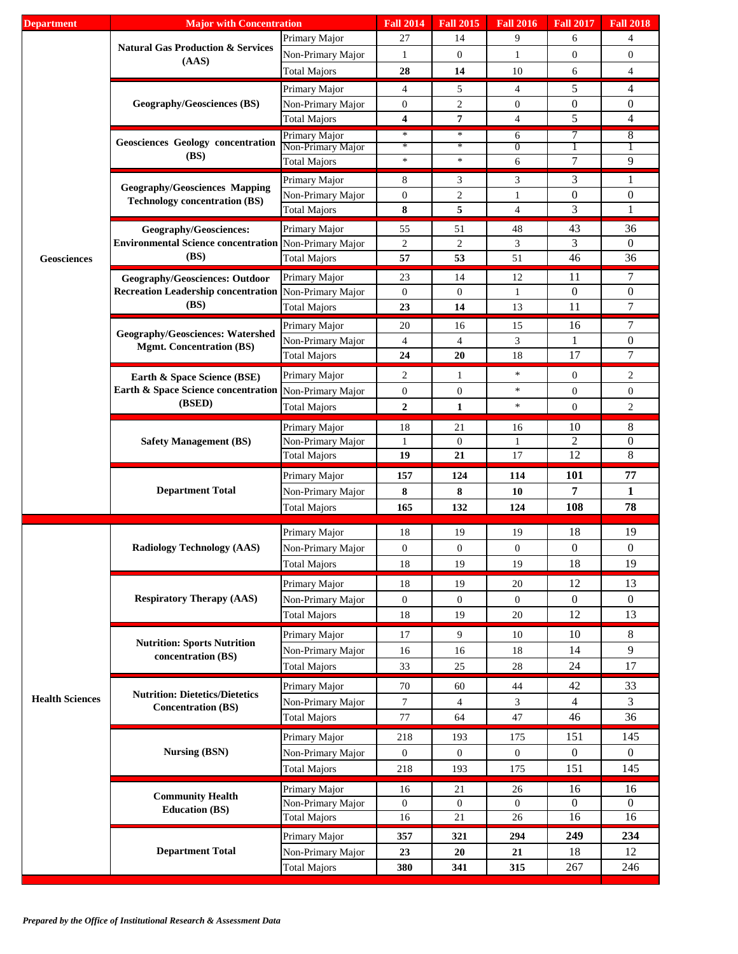| <b>Department</b>      | <b>Major</b> with Concentration                                               |                                                                                                            | <b>Fall 2014</b> | <b>Fall 2015</b> | <b>Fall 2016</b>    | <b>Fall 2017</b> | <b>Fall 2018</b> |
|------------------------|-------------------------------------------------------------------------------|------------------------------------------------------------------------------------------------------------|------------------|------------------|---------------------|------------------|------------------|
|                        |                                                                               | Primary Major                                                                                              | 27               | 14               | 9                   | 6                | $\overline{4}$   |
|                        | <b>Natural Gas Production &amp; Services</b>                                  | Non-Primary Major                                                                                          | 1                | $\mathbf{0}$     | 1                   | $\overline{0}$   | $\boldsymbol{0}$ |
|                        | (AdS)                                                                         | <b>Total Majors</b>                                                                                        | 28               | 14               | 10                  | 6                | $\overline{4}$   |
|                        |                                                                               | Primary Major                                                                                              | 4                | 5                | 4                   | 5                | 4                |
|                        | <b>Geography/Geosciences (BS)</b>                                             | Non-Primary Major                                                                                          | $\boldsymbol{0}$ | $\overline{c}$   | $\boldsymbol{0}$    | $\mathbf{0}$     | 0                |
|                        |                                                                               | <b>Total Majors</b>                                                                                        | 4                | 7                | $\overline{4}$      | 5                | 4                |
|                        |                                                                               |                                                                                                            |                  |                  |                     |                  |                  |
|                        | <b>Geosciences Geology concentration</b>                                      | Primary Major<br>Non-Primary Major                                                                         | $\ast$<br>$*$    | ∗<br>$\ast$      | 6<br>$\overline{0}$ | 7                | 8                |
|                        | (BS)                                                                          | <b>Total Majors</b>                                                                                        | $\ast$           | $\ast$           | 6                   | $\tau$           | 9                |
|                        |                                                                               |                                                                                                            |                  |                  |                     |                  |                  |
|                        | <b>Geography/Geosciences Mapping</b>                                          | Primary Major                                                                                              | 8                | 3                | 3                   | 3                | 1                |
|                        | <b>Technology concentration (BS)</b>                                          | Non-Primary Major                                                                                          | $\boldsymbol{0}$ | $\overline{c}$   | 1                   | $\mathbf{0}$     | $\boldsymbol{0}$ |
|                        |                                                                               | <b>Total Majors</b>                                                                                        | 8                | 5                | $\overline{4}$      | 3                | 1                |
|                        | <b>Geography/Geosciences:</b>                                                 | Primary Major                                                                                              | 55               | 51               | 48                  | 43               | 36               |
|                        | Environmental Science concentration Non-Primary Major                         |                                                                                                            | $\overline{c}$   | $\overline{c}$   | 3                   | 3                | $\boldsymbol{0}$ |
| Geosciences            | (BS)                                                                          | <b>Total Majors</b>                                                                                        | 57               | 53               | 51                  | 46               | 36               |
|                        | <b>Geography/Geosciences: Outdoor</b>                                         | Primary Major                                                                                              | 23               | 14               | 12                  | 11               | 7                |
|                        | <b>Recreation Leadership concentration</b>                                    | Non-Primary Major                                                                                          | $\boldsymbol{0}$ | $\mathbf{0}$     | 1                   | $\mathbf{0}$     | $\boldsymbol{0}$ |
|                        | (BS)                                                                          | <b>Total Majors</b>                                                                                        | 23               | 14               | 13                  | 11               | $\overline{7}$   |
|                        |                                                                               | Primary Major                                                                                              | 20               | 16               | 15                  | 16               | 7                |
|                        | <b>Geography/Geosciences: Watershed</b>                                       | Non-Primary Major                                                                                          | 4                | $\overline{4}$   | 3                   | 1                | 0                |
|                        | <b>Mgmt. Concentration (BS)</b>                                               | <b>Total Majors</b>                                                                                        | 24               | 20               | 18                  | 17               | 7                |
|                        |                                                                               |                                                                                                            |                  |                  |                     |                  |                  |
|                        | Earth & Space Science (BSE)<br>Earth & Space Science concentration            | Primary Major                                                                                              | 2                | 1                | $\ast$              | $\mathbf{0}$     | 2                |
|                        |                                                                               |                                                                                                            | $\mathbf{0}$     | $\mathbf{0}$     | $\ast$              | $\mathbf{0}$     | $\boldsymbol{0}$ |
|                        |                                                                               | Non-Primary Major<br>$\boldsymbol{2}$<br>$\mathbf{1}$<br>$\ast$<br>$\boldsymbol{0}$<br><b>Total Majors</b> |                  | $\overline{c}$   |                     |                  |                  |
|                        |                                                                               | Primary Major                                                                                              | 18               | 21               | 16                  | 10               | 8                |
|                        |                                                                               | Non-Primary Major                                                                                          | 1                | $\mathbf{0}$     | 1                   | $\overline{2}$   | $\overline{0}$   |
|                        |                                                                               | <b>Total Majors</b>                                                                                        | 19               | 21               | 17                  | $\overline{12}$  | 8                |
|                        |                                                                               |                                                                                                            |                  |                  |                     |                  |                  |
|                        |                                                                               |                                                                                                            |                  |                  |                     |                  |                  |
|                        |                                                                               | Primary Major                                                                                              | 157              | 124              | 114                 | 101              | 77               |
|                        | <b>Department Total</b>                                                       | Non-Primary Major                                                                                          | 8                | 8                | 10                  | 7                | 1                |
|                        |                                                                               | <b>Total Majors</b>                                                                                        | 165              | 132              | 124                 | 108              | 78               |
|                        |                                                                               |                                                                                                            |                  |                  |                     |                  |                  |
|                        |                                                                               | Primary Major                                                                                              | $18\,$           | 19               | 19                  | 18               | 19               |
|                        | <b>Radiology Technology (AAS)</b>                                             | Non-Primary Major                                                                                          | $\overline{0}$   | $\overline{0}$   | $\overline{0}$      | $\boldsymbol{0}$ | $\overline{0}$   |
|                        |                                                                               | <b>Total Majors</b>                                                                                        | 18               | 19               | 19                  | 18               | 19               |
|                        |                                                                               | Primary Major                                                                                              | 18               | 19               | 20                  | 12               | 13               |
|                        | <b>Respiratory Therapy (AAS)</b>                                              | Non-Primary Major                                                                                          | $\overline{0}$   | $\mathbf{0}$     | $\overline{0}$      | $\boldsymbol{0}$ | $\mathbf{0}$     |
|                        |                                                                               | <b>Total Majors</b>                                                                                        | $18\,$           | 19               | 20                  | 12               | 13               |
|                        |                                                                               | Primary Major                                                                                              | 17               | 9                | 10                  | 10               | 8                |
|                        | (BSED)<br><b>Safety Management (BS)</b><br><b>Nutrition: Sports Nutrition</b> | Non-Primary Major                                                                                          | 16               | 16               | 18                  | 14               | 9                |
|                        | concentration (BS)                                                            |                                                                                                            |                  |                  | 28                  |                  |                  |
|                        |                                                                               | <b>Total Majors</b>                                                                                        | 33               | 25               |                     | 24               | 17               |
|                        | <b>Nutrition: Dietetics/Dietetics</b>                                         | Primary Major                                                                                              | 70               | 60               | 44                  | 42               | 33               |
| <b>Health Sciences</b> | <b>Concentration (BS)</b>                                                     | Non-Primary Major                                                                                          | $\tau$           | $\overline{4}$   | 3                   | $\overline{4}$   | 3                |
|                        |                                                                               | <b>Total Majors</b>                                                                                        | 77               | 64               | 47                  | 46               | 36               |
|                        |                                                                               | Primary Major                                                                                              | 218              | 193              | 175                 | 151              | 145              |
|                        | <b>Nursing (BSN)</b>                                                          | Non-Primary Major                                                                                          | $\mathbf{0}$     | $\boldsymbol{0}$ | $\mathbf{0}$        | $\boldsymbol{0}$ | $\overline{0}$   |
|                        |                                                                               | <b>Total Majors</b>                                                                                        | 218              | 193              | 175                 | 151              | 145              |
|                        |                                                                               |                                                                                                            |                  |                  |                     |                  |                  |
|                        | <b>Community Health</b>                                                       | Primary Major                                                                                              | 16               | 21               | 26                  | 16               | 16               |
|                        | <b>Education (BS)</b>                                                         | Non-Primary Major                                                                                          | $\overline{0}$   | $\boldsymbol{0}$ | $\overline{0}$      | $\theta$         | $\overline{0}$   |
|                        |                                                                               | <b>Total Majors</b>                                                                                        | 16               | 21               | 26                  | 16               | 16               |
|                        |                                                                               | Primary Major                                                                                              | 357              | 321              | 294                 | 249              | 234              |
|                        | <b>Department Total</b>                                                       | Non-Primary Major<br><b>Total Majors</b>                                                                   | 23<br>380        | 20<br>341        | 21<br>315           | 18<br>267        | 12<br>246        |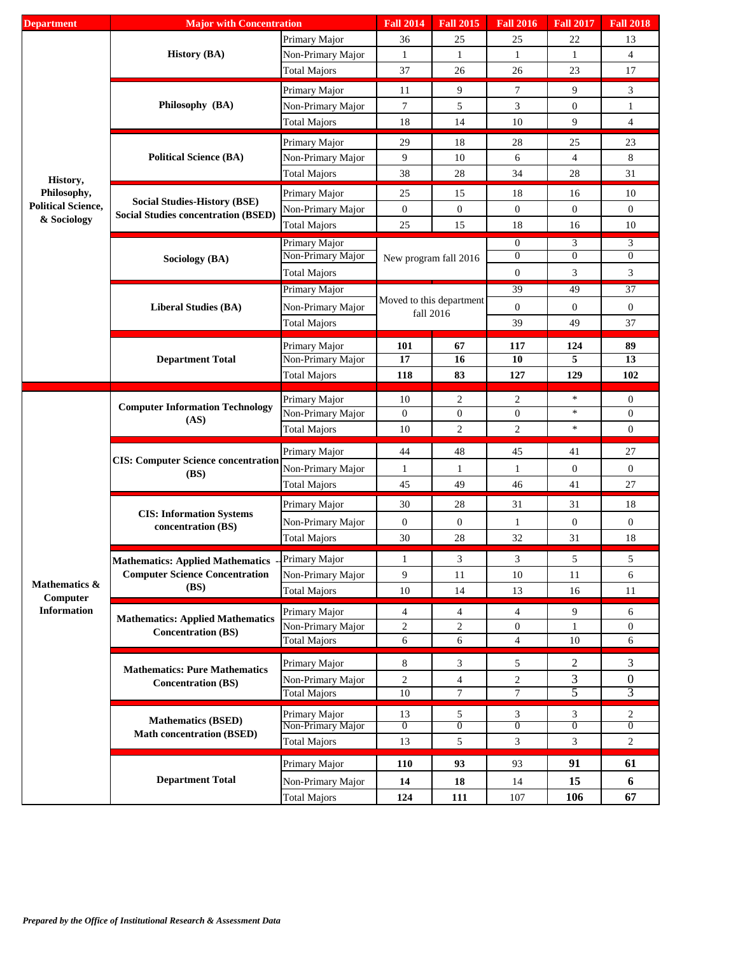| <b>Department</b>                        | <b>Major with Concentration</b>                       |                                          | <b>Fall 2014</b>                                                                                                                                                                                                                                                                                                                                                                                                                                                                                                                                                                                                                                                                                                                                                                                                                                                                                                                                                                                                                                                                                                                                                                                                                                                                                                                                                                                                                                                                                                                    | <b>Fall 2015</b>                 | <b>Fall 2016</b>                 | <b>Fall 2017</b>    | <b>Fall 2018</b>      |  |
|------------------------------------------|-------------------------------------------------------|------------------------------------------|-------------------------------------------------------------------------------------------------------------------------------------------------------------------------------------------------------------------------------------------------------------------------------------------------------------------------------------------------------------------------------------------------------------------------------------------------------------------------------------------------------------------------------------------------------------------------------------------------------------------------------------------------------------------------------------------------------------------------------------------------------------------------------------------------------------------------------------------------------------------------------------------------------------------------------------------------------------------------------------------------------------------------------------------------------------------------------------------------------------------------------------------------------------------------------------------------------------------------------------------------------------------------------------------------------------------------------------------------------------------------------------------------------------------------------------------------------------------------------------------------------------------------------------|----------------------------------|----------------------------------|---------------------|-----------------------|--|
|                                          | <b>History (BA)</b>                                   | Primary Major                            | 36                                                                                                                                                                                                                                                                                                                                                                                                                                                                                                                                                                                                                                                                                                                                                                                                                                                                                                                                                                                                                                                                                                                                                                                                                                                                                                                                                                                                                                                                                                                                  | 25                               | 25                               | 22                  | 13                    |  |
|                                          |                                                       | Non-Primary Major                        | $\mathbf{1}$                                                                                                                                                                                                                                                                                                                                                                                                                                                                                                                                                                                                                                                                                                                                                                                                                                                                                                                                                                                                                                                                                                                                                                                                                                                                                                                                                                                                                                                                                                                        | $\mathbf{1}$                     | $\mathbf{1}$                     | 1                   | $\overline{4}$        |  |
|                                          |                                                       | <b>Total Majors</b>                      | 37                                                                                                                                                                                                                                                                                                                                                                                                                                                                                                                                                                                                                                                                                                                                                                                                                                                                                                                                                                                                                                                                                                                                                                                                                                                                                                                                                                                                                                                                                                                                  | 26                               | 26                               | 23                  | 17                    |  |
|                                          | Philosophy (BA)                                       | Primary Major                            |                                                                                                                                                                                                                                                                                                                                                                                                                                                                                                                                                                                                                                                                                                                                                                                                                                                                                                                                                                                                                                                                                                                                                                                                                                                                                                                                                                                                                                                                                                                                     |                                  |                                  |                     |                       |  |
|                                          |                                                       | Non-Primary Major                        |                                                                                                                                                                                                                                                                                                                                                                                                                                                                                                                                                                                                                                                                                                                                                                                                                                                                                                                                                                                                                                                                                                                                                                                                                                                                                                                                                                                                                                                                                                                                     |                                  |                                  |                     |                       |  |
|                                          |                                                       | <b>Total Majors</b>                      |                                                                                                                                                                                                                                                                                                                                                                                                                                                                                                                                                                                                                                                                                                                                                                                                                                                                                                                                                                                                                                                                                                                                                                                                                                                                                                                                                                                                                                                                                                                                     |                                  |                                  |                     |                       |  |
|                                          |                                                       | Primary Major                            |                                                                                                                                                                                                                                                                                                                                                                                                                                                                                                                                                                                                                                                                                                                                                                                                                                                                                                                                                                                                                                                                                                                                                                                                                                                                                                                                                                                                                                                                                                                                     |                                  |                                  |                     |                       |  |
|                                          | <b>Political Science (BA)</b>                         | Non-Primary Major                        |                                                                                                                                                                                                                                                                                                                                                                                                                                                                                                                                                                                                                                                                                                                                                                                                                                                                                                                                                                                                                                                                                                                                                                                                                                                                                                                                                                                                                                                                                                                                     |                                  |                                  |                     |                       |  |
|                                          |                                                       | <b>Total Majors</b>                      |                                                                                                                                                                                                                                                                                                                                                                                                                                                                                                                                                                                                                                                                                                                                                                                                                                                                                                                                                                                                                                                                                                                                                                                                                                                                                                                                                                                                                                                                                                                                     |                                  |                                  |                     |                       |  |
| History,                                 |                                                       |                                          |                                                                                                                                                                                                                                                                                                                                                                                                                                                                                                                                                                                                                                                                                                                                                                                                                                                                                                                                                                                                                                                                                                                                                                                                                                                                                                                                                                                                                                                                                                                                     |                                  |                                  |                     |                       |  |
| Philosophy,<br><b>Political Science,</b> | <b>Social Studies-History (BSE)</b>                   | Primary Major                            |                                                                                                                                                                                                                                                                                                                                                                                                                                                                                                                                                                                                                                                                                                                                                                                                                                                                                                                                                                                                                                                                                                                                                                                                                                                                                                                                                                                                                                                                                                                                     |                                  |                                  |                     |                       |  |
| & Sociology                              | <b>Social Studies concentration (BSED)</b>            | Non-Primary Major                        |                                                                                                                                                                                                                                                                                                                                                                                                                                                                                                                                                                                                                                                                                                                                                                                                                                                                                                                                                                                                                                                                                                                                                                                                                                                                                                                                                                                                                                                                                                                                     |                                  |                                  |                     |                       |  |
|                                          |                                                       | <b>Total Majors</b>                      |                                                                                                                                                                                                                                                                                                                                                                                                                                                                                                                                                                                                                                                                                                                                                                                                                                                                                                                                                                                                                                                                                                                                                                                                                                                                                                                                                                                                                                                                                                                                     |                                  |                                  |                     |                       |  |
|                                          |                                                       | Primary Major<br>Non-Primary Major       |                                                                                                                                                                                                                                                                                                                                                                                                                                                                                                                                                                                                                                                                                                                                                                                                                                                                                                                                                                                                                                                                                                                                                                                                                                                                                                                                                                                                                                                                                                                                     |                                  |                                  |                     |                       |  |
|                                          | Sociology (BA)                                        |                                          |                                                                                                                                                                                                                                                                                                                                                                                                                                                                                                                                                                                                                                                                                                                                                                                                                                                                                                                                                                                                                                                                                                                                                                                                                                                                                                                                                                                                                                                                                                                                     |                                  |                                  |                     |                       |  |
|                                          |                                                       | <b>Total Majors</b>                      |                                                                                                                                                                                                                                                                                                                                                                                                                                                                                                                                                                                                                                                                                                                                                                                                                                                                                                                                                                                                                                                                                                                                                                                                                                                                                                                                                                                                                                                                                                                                     |                                  |                                  |                     |                       |  |
|                                          | <b>Liberal Studies (BA)</b>                           | Primary Major                            |                                                                                                                                                                                                                                                                                                                                                                                                                                                                                                                                                                                                                                                                                                                                                                                                                                                                                                                                                                                                                                                                                                                                                                                                                                                                                                                                                                                                                                                                                                                                     |                                  |                                  |                     |                       |  |
|                                          |                                                       | Non-Primary Major                        | 9<br>9<br>3<br>$\tau$<br>11<br>$\tau$<br>5<br>3<br>$\mathbf{0}$<br>$\mathbf{1}$<br>14<br>9<br>$\overline{4}$<br>18<br>10<br>29<br>18<br>23<br>28<br>25<br>9<br>$\overline{4}$<br>8<br>10<br>6<br>38<br>$28\,$<br>28<br>31<br>34<br>25<br>15<br>18<br>16<br>10<br>$\boldsymbol{0}$<br>$\boldsymbol{0}$<br>$\boldsymbol{0}$<br>$\boldsymbol{0}$<br>$\mathbf{0}$<br>25<br>15<br>10<br>18<br>16<br>3<br>$\overline{0}$<br>3<br>$\Omega$<br>$\theta$<br>$\boldsymbol{0}$<br>New program fall 2016<br>$\boldsymbol{0}$<br>3<br>3<br>49<br>$\overline{37}$<br>39<br>Moved to this department<br>$\boldsymbol{0}$<br>$\boldsymbol{0}$<br>$\mathbf{0}$<br>fall 2016<br>37<br>39<br>49<br>101<br>67<br>89<br>117<br>124<br>17<br>16<br>10<br>5<br>13<br>118<br>83<br>127<br>129<br>102<br>$\ast$<br>$\overline{c}$<br>10<br>2<br>$\mathbf{0}$<br>$\boldsymbol{0}$<br>$\ast$<br>$\mathbf{0}$<br>$\boldsymbol{0}$<br>$\boldsymbol{0}$<br>$\overline{c}$<br>$\overline{c}$<br>$\ast$<br>$\boldsymbol{0}$<br>10<br>44<br>27<br>48<br>45<br>41<br>$\boldsymbol{0}$<br>$\mathbf{0}$<br>$\mathbf{1}$<br>1<br>$\mathbf{1}$<br>45<br>49<br>27<br>46<br>41<br>30<br>28<br>31<br>31<br>18<br>$\boldsymbol{0}$<br>$\boldsymbol{0}$<br>$\mathbf{0}$<br>$\mathbf{0}$<br>$\mathbf{1}$<br>30<br>28<br>32<br>31<br>18<br>3<br>3<br>5<br>5<br>1<br>9<br>11<br>6<br>10<br>11<br>$10\,$<br>14<br>13<br>16<br>11<br>9<br>4<br>4<br>6<br>4<br>$\overline{c}$<br>$\overline{c}$<br>$\overline{0}$<br>$\theta$<br>$\mathbf{1}$<br>6<br>6<br>$\overline{4}$<br>10<br>6 |                                  |                                  |                     |                       |  |
|                                          |                                                       | <b>Total Majors</b>                      |                                                                                                                                                                                                                                                                                                                                                                                                                                                                                                                                                                                                                                                                                                                                                                                                                                                                                                                                                                                                                                                                                                                                                                                                                                                                                                                                                                                                                                                                                                                                     |                                  |                                  |                     |                       |  |
|                                          | <b>Department Total</b>                               | Primary Major                            |                                                                                                                                                                                                                                                                                                                                                                                                                                                                                                                                                                                                                                                                                                                                                                                                                                                                                                                                                                                                                                                                                                                                                                                                                                                                                                                                                                                                                                                                                                                                     |                                  |                                  |                     |                       |  |
|                                          |                                                       | Non-Primary Major                        |                                                                                                                                                                                                                                                                                                                                                                                                                                                                                                                                                                                                                                                                                                                                                                                                                                                                                                                                                                                                                                                                                                                                                                                                                                                                                                                                                                                                                                                                                                                                     |                                  |                                  |                     |                       |  |
|                                          |                                                       | Total Majors                             |                                                                                                                                                                                                                                                                                                                                                                                                                                                                                                                                                                                                                                                                                                                                                                                                                                                                                                                                                                                                                                                                                                                                                                                                                                                                                                                                                                                                                                                                                                                                     |                                  |                                  |                     |                       |  |
|                                          | <b>Computer Information Technology</b><br>(AS)        | Primary Major                            |                                                                                                                                                                                                                                                                                                                                                                                                                                                                                                                                                                                                                                                                                                                                                                                                                                                                                                                                                                                                                                                                                                                                                                                                                                                                                                                                                                                                                                                                                                                                     |                                  |                                  |                     |                       |  |
|                                          |                                                       | Non-Primary Major                        |                                                                                                                                                                                                                                                                                                                                                                                                                                                                                                                                                                                                                                                                                                                                                                                                                                                                                                                                                                                                                                                                                                                                                                                                                                                                                                                                                                                                                                                                                                                                     |                                  |                                  |                     |                       |  |
|                                          |                                                       | <b>Total Majors</b>                      |                                                                                                                                                                                                                                                                                                                                                                                                                                                                                                                                                                                                                                                                                                                                                                                                                                                                                                                                                                                                                                                                                                                                                                                                                                                                                                                                                                                                                                                                                                                                     |                                  |                                  |                     |                       |  |
|                                          | <b>CIS: Computer Science concentration</b><br>(BS)    |                                          |                                                                                                                                                                                                                                                                                                                                                                                                                                                                                                                                                                                                                                                                                                                                                                                                                                                                                                                                                                                                                                                                                                                                                                                                                                                                                                                                                                                                                                                                                                                                     |                                  |                                  |                     |                       |  |
|                                          |                                                       | Primary Major                            |                                                                                                                                                                                                                                                                                                                                                                                                                                                                                                                                                                                                                                                                                                                                                                                                                                                                                                                                                                                                                                                                                                                                                                                                                                                                                                                                                                                                                                                                                                                                     |                                  |                                  |                     |                       |  |
|                                          |                                                       | Non-Primary Major                        |                                                                                                                                                                                                                                                                                                                                                                                                                                                                                                                                                                                                                                                                                                                                                                                                                                                                                                                                                                                                                                                                                                                                                                                                                                                                                                                                                                                                                                                                                                                                     |                                  |                                  |                     |                       |  |
|                                          |                                                       | <b>Total Majors</b>                      |                                                                                                                                                                                                                                                                                                                                                                                                                                                                                                                                                                                                                                                                                                                                                                                                                                                                                                                                                                                                                                                                                                                                                                                                                                                                                                                                                                                                                                                                                                                                     |                                  |                                  |                     |                       |  |
|                                          | <b>CIS:</b> Information Systems<br>concentration (BS) | Primary Major                            |                                                                                                                                                                                                                                                                                                                                                                                                                                                                                                                                                                                                                                                                                                                                                                                                                                                                                                                                                                                                                                                                                                                                                                                                                                                                                                                                                                                                                                                                                                                                     |                                  |                                  |                     |                       |  |
|                                          |                                                       | Non-Primary Major                        |                                                                                                                                                                                                                                                                                                                                                                                                                                                                                                                                                                                                                                                                                                                                                                                                                                                                                                                                                                                                                                                                                                                                                                                                                                                                                                                                                                                                                                                                                                                                     |                                  |                                  |                     |                       |  |
|                                          |                                                       | <b>Total Majors</b>                      |                                                                                                                                                                                                                                                                                                                                                                                                                                                                                                                                                                                                                                                                                                                                                                                                                                                                                                                                                                                                                                                                                                                                                                                                                                                                                                                                                                                                                                                                                                                                     |                                  |                                  |                     |                       |  |
|                                          |                                                       | Primary Major                            |                                                                                                                                                                                                                                                                                                                                                                                                                                                                                                                                                                                                                                                                                                                                                                                                                                                                                                                                                                                                                                                                                                                                                                                                                                                                                                                                                                                                                                                                                                                                     |                                  |                                  |                     |                       |  |
|                                          | <b>Computer Science Concentration</b>                 | Non-Primary Major                        |                                                                                                                                                                                                                                                                                                                                                                                                                                                                                                                                                                                                                                                                                                                                                                                                                                                                                                                                                                                                                                                                                                                                                                                                                                                                                                                                                                                                                                                                                                                                     |                                  |                                  |                     |                       |  |
| Mathematics &                            | <b>Mathematics: Applied Mathematics</b><br>(BS)       | <b>Total Majors</b>                      |                                                                                                                                                                                                                                                                                                                                                                                                                                                                                                                                                                                                                                                                                                                                                                                                                                                                                                                                                                                                                                                                                                                                                                                                                                                                                                                                                                                                                                                                                                                                     |                                  |                                  |                     |                       |  |
| Computer<br><b>Information</b>           |                                                       | Primary Major                            |                                                                                                                                                                                                                                                                                                                                                                                                                                                                                                                                                                                                                                                                                                                                                                                                                                                                                                                                                                                                                                                                                                                                                                                                                                                                                                                                                                                                                                                                                                                                     |                                  |                                  |                     |                       |  |
|                                          | <b>Mathematics: Applied Mathematics</b>               | Non-Primary Major                        |                                                                                                                                                                                                                                                                                                                                                                                                                                                                                                                                                                                                                                                                                                                                                                                                                                                                                                                                                                                                                                                                                                                                                                                                                                                                                                                                                                                                                                                                                                                                     |                                  |                                  |                     |                       |  |
|                                          | <b>Concentration (BS)</b>                             | <b>Total Majors</b>                      |                                                                                                                                                                                                                                                                                                                                                                                                                                                                                                                                                                                                                                                                                                                                                                                                                                                                                                                                                                                                                                                                                                                                                                                                                                                                                                                                                                                                                                                                                                                                     |                                  |                                  |                     |                       |  |
|                                          |                                                       |                                          |                                                                                                                                                                                                                                                                                                                                                                                                                                                                                                                                                                                                                                                                                                                                                                                                                                                                                                                                                                                                                                                                                                                                                                                                                                                                                                                                                                                                                                                                                                                                     |                                  |                                  |                     |                       |  |
|                                          | <b>Mathematics: Pure Mathematics</b>                  | Primary Major                            | 8                                                                                                                                                                                                                                                                                                                                                                                                                                                                                                                                                                                                                                                                                                                                                                                                                                                                                                                                                                                                                                                                                                                                                                                                                                                                                                                                                                                                                                                                                                                                   | 3                                | 5                                | 2                   | 3                     |  |
|                                          | <b>Concentration (BS)</b>                             | Non-Primary Major                        | $\overline{c}$<br>$\overline{10}$                                                                                                                                                                                                                                                                                                                                                                                                                                                                                                                                                                                                                                                                                                                                                                                                                                                                                                                                                                                                                                                                                                                                                                                                                                                                                                                                                                                                                                                                                                   | $\overline{4}$<br>$\overline{7}$ | $\overline{c}$<br>$\overline{7}$ | 3<br>5              | $\boldsymbol{0}$<br>3 |  |
|                                          |                                                       | <b>Total Majors</b>                      |                                                                                                                                                                                                                                                                                                                                                                                                                                                                                                                                                                                                                                                                                                                                                                                                                                                                                                                                                                                                                                                                                                                                                                                                                                                                                                                                                                                                                                                                                                                                     |                                  |                                  |                     |                       |  |
|                                          | <b>Mathematics (BSED)</b>                             | Primary Major                            | 13                                                                                                                                                                                                                                                                                                                                                                                                                                                                                                                                                                                                                                                                                                                                                                                                                                                                                                                                                                                                                                                                                                                                                                                                                                                                                                                                                                                                                                                                                                                                  | 5                                | 3                                | 3<br>$\overline{0}$ | 2<br>$\overline{0}$   |  |
|                                          | <b>Math concentration (BSED)</b>                      | Non-Primary Major<br><b>Total Majors</b> | $\overline{0}$<br>13                                                                                                                                                                                                                                                                                                                                                                                                                                                                                                                                                                                                                                                                                                                                                                                                                                                                                                                                                                                                                                                                                                                                                                                                                                                                                                                                                                                                                                                                                                                | $\overline{0}$<br>5              | $\overline{0}$<br>3              | 3                   | $\overline{c}$        |  |
|                                          |                                                       |                                          |                                                                                                                                                                                                                                                                                                                                                                                                                                                                                                                                                                                                                                                                                                                                                                                                                                                                                                                                                                                                                                                                                                                                                                                                                                                                                                                                                                                                                                                                                                                                     |                                  |                                  |                     |                       |  |
|                                          |                                                       | Primary Major                            | <b>110</b>                                                                                                                                                                                                                                                                                                                                                                                                                                                                                                                                                                                                                                                                                                                                                                                                                                                                                                                                                                                                                                                                                                                                                                                                                                                                                                                                                                                                                                                                                                                          | 93                               | 93                               | 91                  | 61                    |  |
|                                          | <b>Department Total</b>                               | Non-Primary Major                        | 14                                                                                                                                                                                                                                                                                                                                                                                                                                                                                                                                                                                                                                                                                                                                                                                                                                                                                                                                                                                                                                                                                                                                                                                                                                                                                                                                                                                                                                                                                                                                  | 18                               | 14                               | 15                  | 6                     |  |
|                                          |                                                       | <b>Total Majors</b>                      | 124                                                                                                                                                                                                                                                                                                                                                                                                                                                                                                                                                                                                                                                                                                                                                                                                                                                                                                                                                                                                                                                                                                                                                                                                                                                                                                                                                                                                                                                                                                                                 | 111                              | 107                              | 106                 | 67                    |  |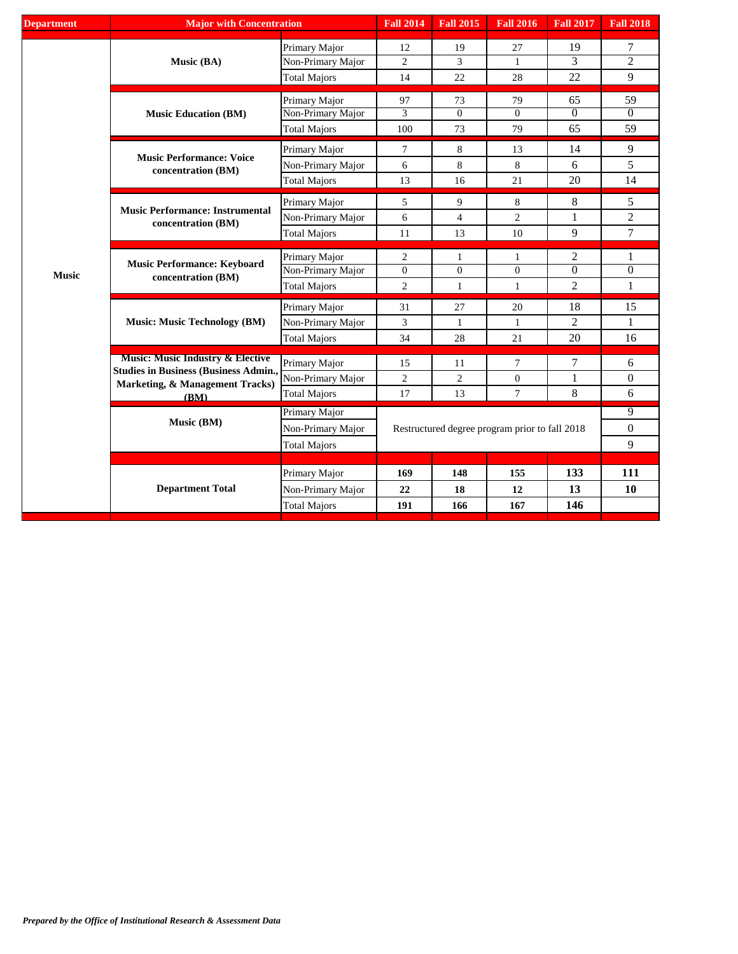| <b>Department</b> | <b>Major with Concentration</b>                              |                     | <b>Fall 2014</b> | <b>Fall 2015</b> | <b>Fall 2016</b>                               | <b>Fall 2017</b> | <b>Fall 2018</b> |
|-------------------|--------------------------------------------------------------|---------------------|------------------|------------------|------------------------------------------------|------------------|------------------|
|                   | Music (BA)                                                   | Primary Major       | 12               | 19               | 27                                             | 19               | 7                |
|                   |                                                              | Non-Primary Major   | $\overline{c}$   | 3                | 1                                              | 3                | $\overline{2}$   |
|                   |                                                              | <b>Total Majors</b> | 14               | 22               | 28                                             | 22               | 9                |
|                   | <b>Music Education (BM)</b>                                  | Primary Major       | 97               | 73               | 79                                             | 65               | 59               |
|                   |                                                              | Non-Primary Major   | $\overline{3}$   | $\overline{0}$   | $\Omega$                                       | $\overline{0}$   | $\overline{0}$   |
|                   |                                                              | <b>Total Majors</b> | 100              | 73               | 79                                             | 65               | 59               |
|                   | <b>Music Performance: Voice</b>                              | Primary Major       | $\tau$           | 8                | 13                                             | 14               | 9                |
|                   | concentration (BM)                                           | Non-Primary Major   | 6                | $\,8\,$          | 8                                              | 6                | 5                |
|                   |                                                              | <b>Total Majors</b> | 13               | 16               | 21                                             | 20               | 14               |
|                   | <b>Music Performance: Instrumental</b><br>concentration (BM) | Primary Major       | 5                | 9                | 8                                              | $8\,$            | 5                |
|                   |                                                              | Non-Primary Major   | 6                | $\overline{4}$   | $\overline{2}$                                 | $\mathbf{1}$     | $\mathfrak{2}$   |
|                   |                                                              | <b>Total Majors</b> | 11               | 13               | 10                                             | 9                | $\overline{7}$   |
|                   | <b>Music Performance: Keyboard</b><br>concentration (BM)     | Primary Major       | $\overline{2}$   | 1                | 1                                              | $\overline{2}$   | 1                |
| <b>Music</b>      |                                                              | Non-Primary Major   | $\boldsymbol{0}$ | $\overline{0}$   | $\mathbf{0}$                                   | $\overline{0}$   | $\overline{0}$   |
|                   |                                                              | <b>Total Majors</b> | 2                | $\mathbf{1}$     | $\mathbf{1}$                                   | $\overline{2}$   | 1                |
|                   | <b>Music: Music Technology (BM)</b>                          | Primary Major       | 31               | 27               | 20                                             | 18               | 15               |
|                   |                                                              | Non-Primary Major   | 3                | $\mathbf{1}$     | $\mathbf{1}$                                   | 2                | 1                |
|                   |                                                              | <b>Total Majors</b> | 34               | 28               | 21                                             | 20               | 16               |
|                   | <b>Music: Music Industry &amp; Elective</b>                  | Primary Major       | 15               | 11               | 7                                              | 7                | 6                |
|                   | <b>Studies in Business (Business Admin.,</b>                 | Non-Primary Major   | $\overline{c}$   | $\overline{2}$   | 0                                              | $\mathbf{1}$     | $\boldsymbol{0}$ |
|                   | Marketing, & Management Tracks)<br>(BM)                      | <b>Total Majors</b> | 17               | 13               | $\tau$                                         | 8                | 6                |
|                   |                                                              | Primary Major       |                  |                  | 9                                              |                  |                  |
|                   | Music (BM)                                                   | Non-Primary Major   |                  |                  | Restructured degree program prior to fall 2018 |                  | $\boldsymbol{0}$ |
|                   |                                                              | <b>Total Majors</b> |                  |                  |                                                |                  | $\overline{9}$   |
|                   |                                                              |                     |                  |                  |                                                |                  |                  |
|                   |                                                              | Primary Major       | 169              | 148              | 155                                            | 133              | 111              |
|                   | <b>Department Total</b>                                      | Non-Primary Major   | 22               | 18               | 12                                             | 13               | 10               |
|                   |                                                              | <b>Total Majors</b> | 191              | 166              | 167                                            | 146              |                  |
|                   |                                                              |                     |                  |                  |                                                |                  |                  |